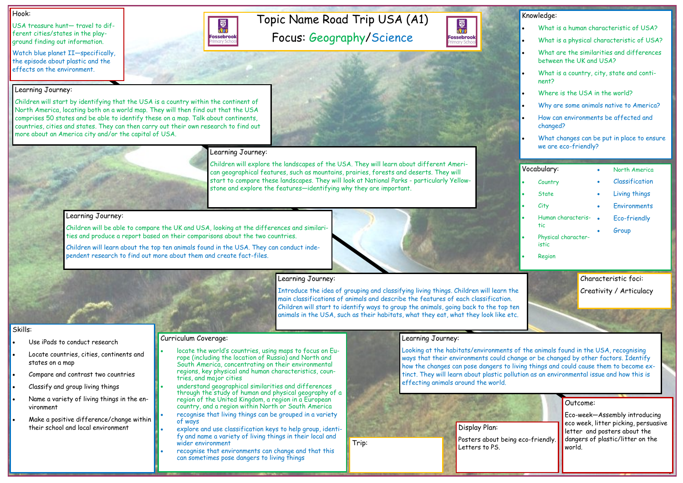Topic Name Road Trip USA (A1)

Focus: Geography/Science

#### Hook:

USA treasure hunt— travel to different cities/states in the playground finding out information.

Watch blue planet II—specifically, the episode about plastic and the effects on the environment.

> Outcome: Eco-week—Assembly introducing eco week, litter picking, persuasive letter and posters about the dangers of plastic/litter on the world.

- Use iPads to conduct research
- Locate countries, cities, continents and states on a map
- Compare and contrast two countries
- Classify and group living things
- Name a variety of living things in the environment
- Make a positive difference/change within their school and local environment

#### Skills:

#### Learning Journey:

Children will start by identifying that the USA is a country within the continent of North America, locating both on a world map. They will then find out that the USA comprises 50 states and be able to identify these on a map. Talk about continents, countries, cities and states. They can then carry out their own research to find out more about an America city and/or the capital of USA.

#### Learning Journey:

國流行

**Fossebrook** 

Children will explore the landscapes of the USA. They will learn about different American geographical features, such as mountains, prairies, forests and deserts. They will start to compare these landscapes. They will look at National Parks - particularly Yellowstone and explore the features—identifying why they are important.

#### Learning Journey:

Display Plan: Posters about being eco-friendly. Trip: The Contract of Posters about the Posters about the Posters about the Posters about the Posters about the Posters about the Posters about the Posters about the Posters about the Posters about the Posters about the Po



Children will be able to compare the UK and USA, looking at the differences and similarities and produce a report based on their comparisons about the two countries.

Children will learn about the top ten animals found in the USA. They can conduct independent research to find out more about them and create fact-files.

### Learning Journey:

| Knowledge:                                                           |
|----------------------------------------------------------------------|
| What is a human characteristic of USA?                               |
| What is a physical characteristic of USA?                            |
| What are the similarities and differences<br>between the UK and USA? |
| What is a country, city, state and conti-<br>nent?                   |
| Where is the USA in the world?                                       |
| Why are some animals native to America?                              |
| How can environments be affected and<br>changed?                     |
| What changes can be put in place to ensure<br>we are eco-friendly?   |
|                                                                      |
| Vocabulary:<br>North America                                         |
|                                                                      |
| Classification<br>Country                                            |
| <b>State</b><br>Living things                                        |
| Environments<br>City                                                 |
| Human characteris-<br>Eco-friendly<br>tic                            |
| Group<br>Physical character-<br>istic                                |
| Region                                                               |

Introduce the idea of grouping and classifying living things. Children will learn the main classifications of animals and describe the features of each classification. Children will start to identify ways to group the animals, going back to the top ten animals in the USA, such as their habitats, what they eat, what they look like etc.

#### Learning Journey:

Looking at the habitats/environments of the animals found in the USA, recognising ways that their environments could change or be changed by other factors. Identify how the changes can pose dangers to living things and could cause them to become extinct. They will learn about plastic pollution as an environmental issue and how this is effecting animals around the world.



#### Curriculum Coverage:

- locate the world's countries, using maps to focus on Europe (including the location of Russia) and North and South America, concentrating on their environmental regions, key physical and human characteristics, countries, and major cities
- understand geographical similarities and differences through the study of human and physical geography of a region of the United Kingdom, a region in a European country, and a region within North or South America
- recognise that living things can be grouped in a variety of ways
- explore and use classification keys to help group, identify and name a variety of living things in their local and wider environment
- recognise that environments can change and that this can sometimes pose dangers to living things